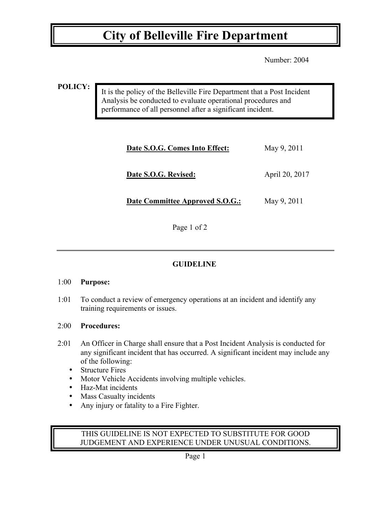## **City of Belleville Fire Department**

Number: 2004

### **POLICY:**

It is the policy of the Belleville Fire Department that a Post Incident Analysis be conducted to evaluate operational procedures and performance of all personnel after a significant incident.

| Date S.O.G. Comes Into Effect:  | May 9, 2011    |
|---------------------------------|----------------|
| Date S.O.G. Revised:            | April 20, 2017 |
| Date Committee Approved S.O.G.: | May 9, 2011    |

Page 1 of 2

## **GUIDELINE**

#### 1:00 **Purpose:**

1:01 To conduct a review of emergency operations at an incident and identify any training requirements or issues.

## 2:00 **Procedures:**

- 2:01 An Officer in Charge shall ensure that a Post Incident Analysis is conducted for any significant incident that has occurred. A significant incident may include any of the following:
	- Structure Fires
	- Motor Vehicle Accidents involving multiple vehicles.
	- Haz-Mat incidents
	- Mass Casualty incidents
	- Any injury or fatality to a Fire Fighter.

## THIS GUIDELINE IS NOT EXPECTED TO SUBSTITUTE FOR GOOD JUDGEMENT AND EXPERIENCE UNDER UNUSUAL CONDITIONS.